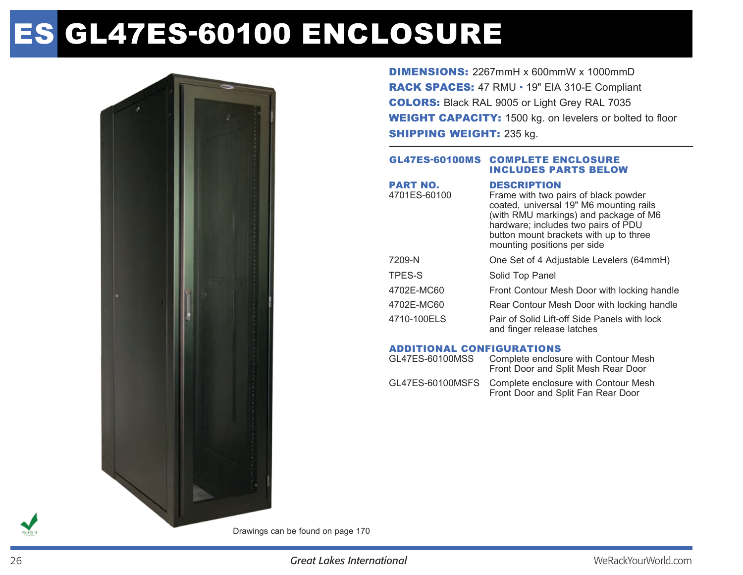# Es GL47ES-60100 enclosure



DIMENSIONS: 2267mmH x 600mmW x 1000mmD RACK SPACES: 47 RMU • 19" EIA 310-E Compliant COLORS: Black RAL 9005 or Light Grey RAL 7035 WEIGHT CAPACITY: 1500 kg. on levelers or bolted to floor **SHIPPING WEIGHT: 235 kg.** 

#### GL47ES-60100MS Complete enclosure includes parts below

| <b>PART NO.</b> | <b>DESCRIPTION</b>                                                                                                                                                                                                                       |
|-----------------|------------------------------------------------------------------------------------------------------------------------------------------------------------------------------------------------------------------------------------------|
| 4701ES-60100    | Frame with two pairs of black powder<br>coated, universal 19" M6 mounting rails<br>(with RMU markings) and package of M6<br>hardware; includes two pairs of PDU<br>button mount brackets with up to three<br>mounting positions per side |
| 7209-N          | One Set of 4 Adjustable Levelers (64mmH)                                                                                                                                                                                                 |
| TPES-S          | Solid Top Panel                                                                                                                                                                                                                          |
| 4702E-MC60      | Front Contour Mesh Door with locking handle                                                                                                                                                                                              |
| 4702E-MC60      | Rear Contour Mesh Door with locking handle                                                                                                                                                                                               |
| 4710-100ELS     | Pair of Solid Lift-off Side Panels with lock<br>and finger release latches                                                                                                                                                               |
|                 |                                                                                                                                                                                                                                          |

## Additional Configurations

| GL47ES-60100MSS | Complete enclosure with Contour Mesh<br>Front Door and Split Mesh Rear Door                 |
|-----------------|---------------------------------------------------------------------------------------------|
|                 | GL47ES-60100MSFS Complete enclosure with Contour Mesh<br>Front Door and Split Fan Rear Door |

Drawings can be found on page 170